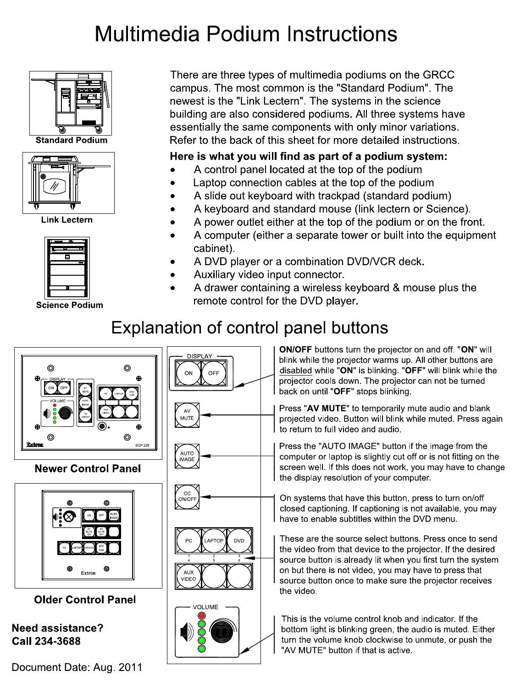# **Multimedia Podium Instructions**



**Standard Podium** 



**Link Lectern** 



**Science Podium** 

There are three types of multimedia podiums on the GRCC campus. The most common is the "Standard Podium". The newest is the "Link Lectern". The systems in the science building are also considered podiums. All three systems have essentially the same components with only minor variations. Refer to the back of this sheet for more detailed instructions.

### Here is what you will find as part of a podium system:

- A control panel located at the top of the podium
- Laptop connection cables at the top of the podium
- A slide out keyboard with trackpad (standard podium)
- A keyboard and standard mouse (link lectern or Science).
- A power outlet either at the top of the podium or on the front.
- A computer (either a separate tower or built into the equipment cabinet)
- A DVD player or a combination DVD/VCR deck.
- Auxiliary video input connector.
- A drawer containing a wireless keyboard & mouse plus the remote control for the DVD player.

# Explanation of control panel buttons



### **Newer Control Panel**



**Older Control Panel** 

### **Need assistance?** Call 234-3688

Document Date: Aug. 2011



ON/OFF buttons turn the projector on and off. "ON" will blink while the projector warms up. All other buttons are disabled while "ON" is blinking. "OFF" will blink while the projector cools down. The projector can not be turned back on until "OFF" stops blinking.

Press "AV MUTE" to temporarily mute audio and blank projected video. Button will blink while muted. Press again to return to full video and audio.

Press the "AUTO IMAGE" button if the image from the computer or laptop is slightly cut off or is not fitting on the screen well. If this does not work, you may have to change the display resolution of your computer.

On systems that have this button, press to turn on/off closed captioning. If captioning is not available, you may have to enable subtitles within the DVD menu.

These are the source select buttons. Press once to send the video from that device to the projector. If the desired source button is already lit when you first turn the system on but there is not video, you may have to press that source button once to make sure the projector receives the video

This is the volume control knob and indicator. If the bottom light is blinking green, the audio is muted. Either turn the volume knob clockwise to unmute, or push the "AV MUTE" button if that is active.